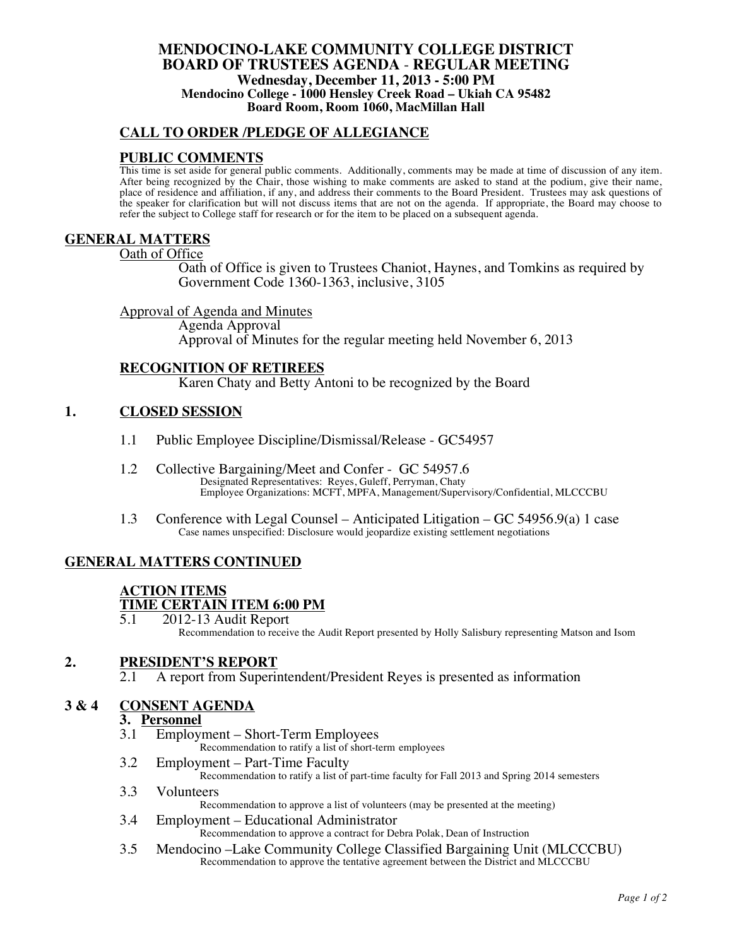### **MENDOCINO-LAKE COMMUNITY COLLEGE DISTRICT BOARD OF TRUSTEES AGENDA** - **REGULAR MEETING Wednesday, December 11, 2013 - 5:00 PM Mendocino College - 1000 Hensley Creek Road – Ukiah CA 95482 Board Room, Room 1060, MacMillan Hall**

# **CALL TO ORDER /PLEDGE OF ALLEGIANCE**

# **PUBLIC COMMENTS**

This time is set aside for general public comments. Additionally, comments may be made at time of discussion of any item. After being recognized by the Chair, those wishing to make comments are asked to stand at the podium, give their name, place of residence and affiliation, if any, and address their comments to the Board President. Trustees may ask questions of the speaker for clarification but will not discuss items that are not on the agenda. If appropriate, the Board may choose to refer the subject to College staff for research or for the item to be placed on a subsequent agenda.

#### **GENERAL MATTERS**

Oath of Office

Oath of Office is given to Trustees Chaniot, Haynes, and Tomkins as required by Government Code 1360-1363, inclusive, 3105

#### Approval of Agenda and Minutes

Agenda Approval Approval of Minutes for the regular meeting held November 6, 2013

## **RECOGNITION OF RETIREES**

Karen Chaty and Betty Antoni to be recognized by the Board

## **1. CLOSED SESSION**

- 1.1 Public Employee Discipline/Dismissal/Release GC54957
- 1.2 Collective Bargaining/Meet and Confer GC 54957.6 Designated Representatives: Reyes, Guleff, Perryman, Chaty Employee Organizations: MCFT, MPFA, Management/Supervisory/Confidential, MLCCCBU
- 1.3 Conference with Legal Counsel Anticipated Litigation GC 54956.9(a) 1 case Case names unspecified: Disclosure would jeopardize existing settlement negotiations

# **GENERAL MATTERS CONTINUED**

# **ACTION ITEMS TIME CERTAIN ITEM 6:00 PM**<br>5.1 2012-13 Audit Report

5.1 2012-13 Audit Report Recommendation to receive the Audit Report presented by Holly Salisbury representing Matson and Isom

# **2. PRESIDENT'S REPORT**<br>2.1 A report from Superin

A report from Superintendent/President Reyes is presented as information

# **3 & 4 CONSENT AGENDA**

# **3. Personnel**

Employment – Short-Term Employees

Recommendation to ratify a list of short-term employees

3.2 Employment – Part-Time Faculty

Recommendation to ratify a list of part-time faculty for Fall 2013 and Spring 2014 semesters

- 3.3 Volunteers Recommendation to approve a list of volunteers (may be presented at the meeting)
- 3.4 Employment Educational Administrator Recommendation to approve a contract for Debra Polak, Dean of Instruction
- 3.5 Mendocino –Lake Community College Classified Bargaining Unit (MLCCCBU) Recommendation to approve the tentative agreement between the District and MLCCCBU